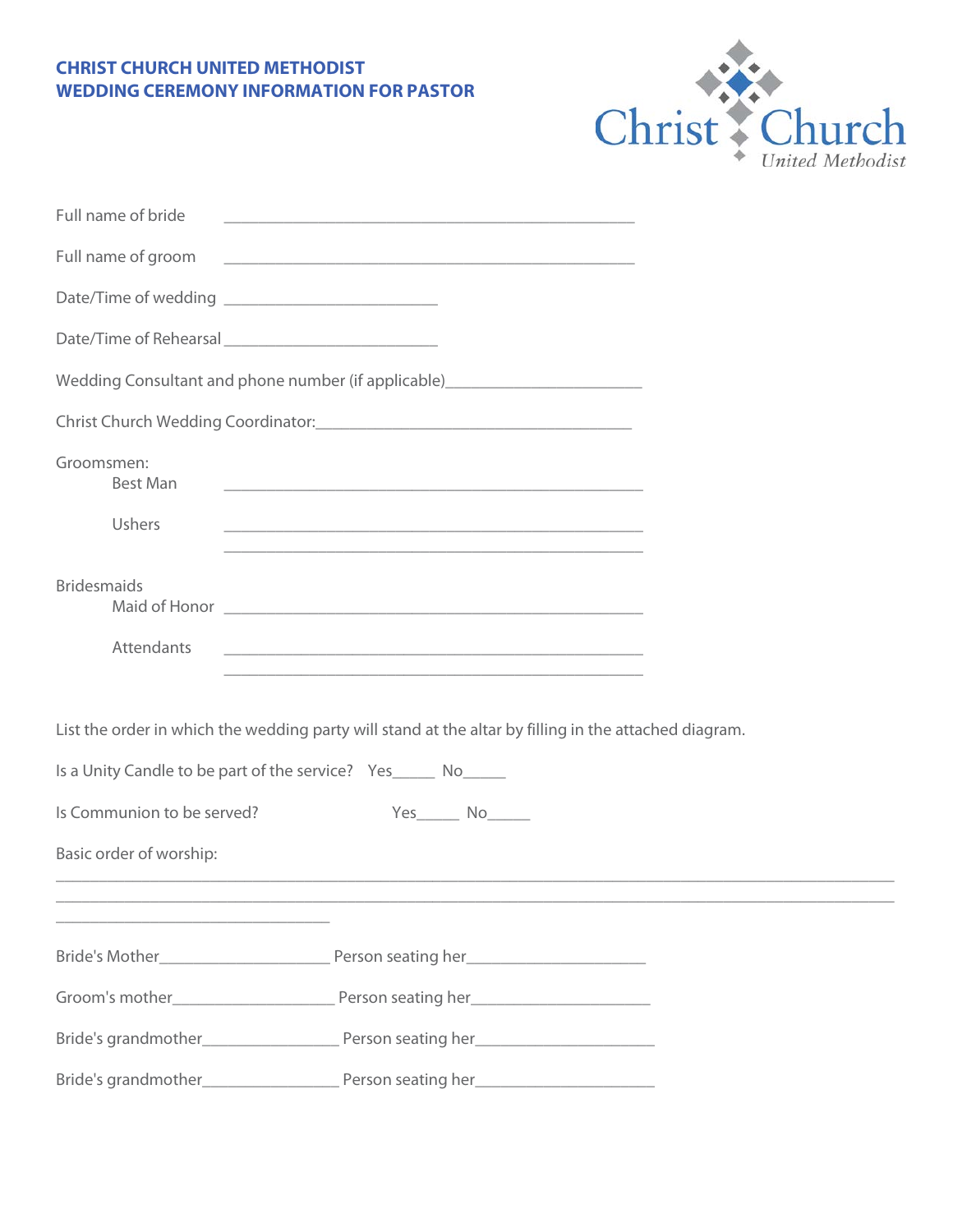## **CHRIST CHURCH UNITED METHODIST WEDDING CEREMONY INFORMATION FOR PASTOR**



| Full name of bride            |                                                                                                                        |  |
|-------------------------------|------------------------------------------------------------------------------------------------------------------------|--|
| Full name of groom            | <u> 2000 - Jan James James James James James James James James James James James James James James James James J</u>   |  |
|                               |                                                                                                                        |  |
|                               |                                                                                                                        |  |
|                               |                                                                                                                        |  |
|                               |                                                                                                                        |  |
| Groomsmen:<br><b>Best Man</b> |                                                                                                                        |  |
| Ushers                        | <u> 1989 - Johann Barbara, marka a shekara tsa na shekara tsa na shekara tsa 1989 - An tsa na shekara tsa na sheka</u> |  |
| <b>Bridesmaids</b>            |                                                                                                                        |  |
| Attendants                    |                                                                                                                        |  |
|                               | List the order in which the wedding party will stand at the altar by filling in the attached diagram.                  |  |
|                               | Is a Unity Candle to be part of the service? Yes _______ No______                                                      |  |
| Is Communion to be served?    | Yes No                                                                                                                 |  |
| Basic order of worship:       |                                                                                                                        |  |
|                               |                                                                                                                        |  |
|                               |                                                                                                                        |  |
|                               |                                                                                                                        |  |
|                               |                                                                                                                        |  |
|                               |                                                                                                                        |  |